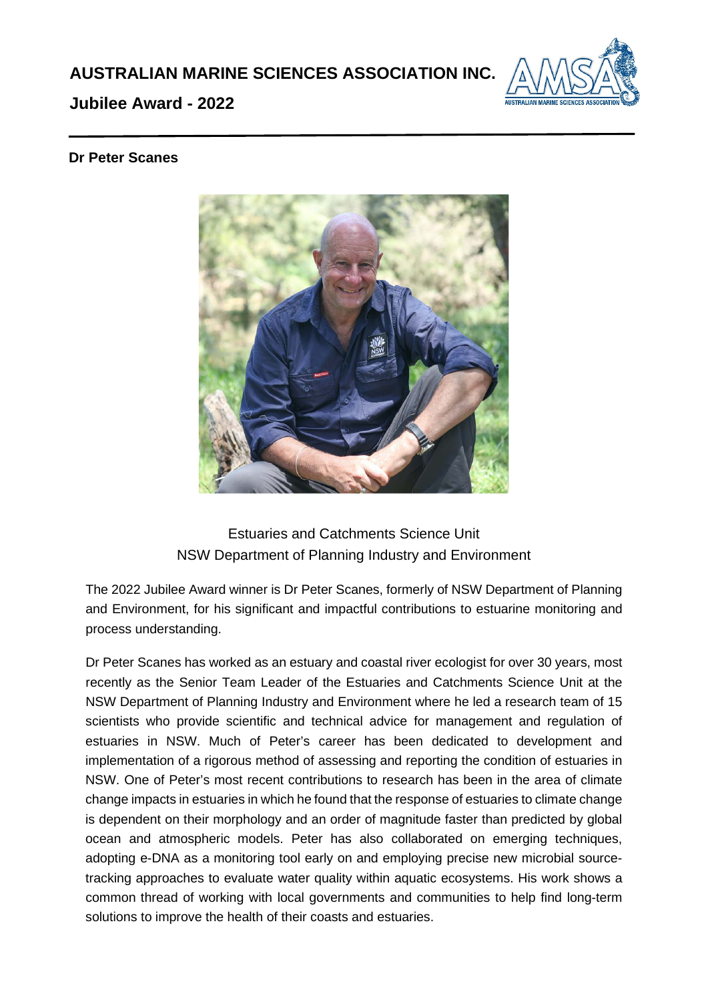

## **Jubilee Award - 2022**

## **Dr Peter Scanes**



## Estuaries and Catchments Science Unit NSW Department of Planning Industry and Environment

The 2022 Jubilee Award winner is Dr Peter Scanes, formerly of NSW Department of Planning and Environment, for his significant and impactful contributions to estuarine monitoring and process understanding.

Dr Peter Scanes has worked as an estuary and coastal river ecologist for over 30 years, most recently as the Senior Team Leader of the Estuaries and Catchments Science Unit at the NSW Department of Planning Industry and Environment where he led a research team of 15 scientists who provide scientific and technical advice for management and regulation of estuaries in NSW. Much of Peter's career has been dedicated to development and implementation of a rigorous method of assessing and reporting the condition of estuaries in NSW. One of Peter's most recent contributions to research has been in the area of climate change impacts in estuaries in which he found that the response of estuaries to climate change is dependent on their morphology and an order of magnitude faster than predicted by global ocean and atmospheric models. Peter has also collaborated on emerging techniques, adopting e-DNA as a monitoring tool early on and employing precise new microbial sourcetracking approaches to evaluate water quality within aquatic ecosystems. His work shows a common thread of working with local governments and communities to help find long-term solutions to improve the health of their coasts and estuaries.